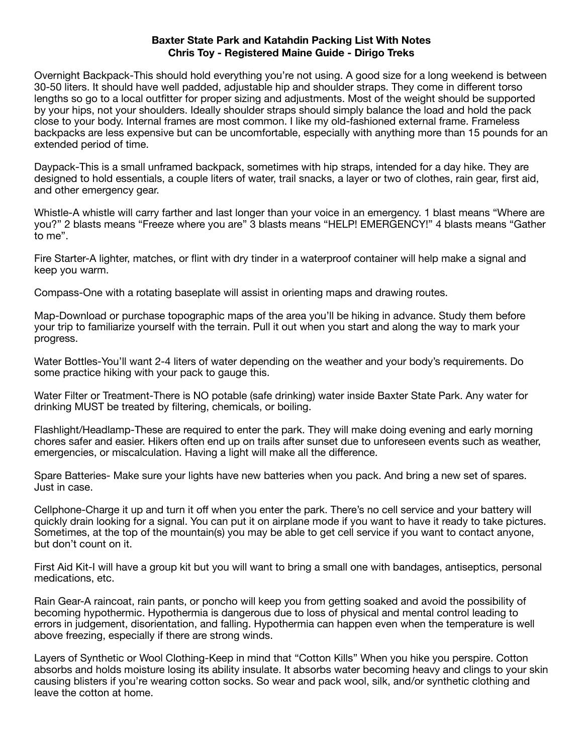## **Baxter State Park and Katahdin Packing List With Notes Chris Toy - Registered Maine Guide - Dirigo Treks**

Overnight Backpack-This should hold everything you're not using. A good size for a long weekend is between 30-50 liters. It should have well padded, adjustable hip and shoulder straps. They come in different torso lengths so go to a local outfitter for proper sizing and adjustments. Most of the weight should be supported by your hips, not your shoulders. Ideally shoulder straps should simply balance the load and hold the pack close to your body. Internal frames are most common. I like my old-fashioned external frame. Frameless backpacks are less expensive but can be uncomfortable, especially with anything more than 15 pounds for an extended period of time.

Daypack-This is a small unframed backpack, sometimes with hip straps, intended for a day hike. They are designed to hold essentials, a couple liters of water, trail snacks, a layer or two of clothes, rain gear, first aid, and other emergency gear.

Whistle-A whistle will carry farther and last longer than your voice in an emergency. 1 blast means "Where are you?" 2 blasts means "Freeze where you are" 3 blasts means "HELP! EMERGENCY!" 4 blasts means "Gather to me".

Fire Starter-A lighter, matches, or flint with dry tinder in a waterproof container will help make a signal and keep you warm.

Compass-One with a rotating baseplate will assist in orienting maps and drawing routes.

Map-Download or purchase topographic maps of the area you'll be hiking in advance. Study them before your trip to familiarize yourself with the terrain. Pull it out when you start and along the way to mark your progress.

Water Bottles-You'll want 2-4 liters of water depending on the weather and your body's requirements. Do some practice hiking with your pack to gauge this.

Water Filter or Treatment-There is NO potable (safe drinking) water inside Baxter State Park. Any water for drinking MUST be treated by filtering, chemicals, or boiling.

Flashlight/Headlamp-These are required to enter the park. They will make doing evening and early morning chores safer and easier. Hikers often end up on trails after sunset due to unforeseen events such as weather, emergencies, or miscalculation. Having a light will make all the difference.

Spare Batteries- Make sure your lights have new batteries when you pack. And bring a new set of spares. Just in case.

Cellphone-Charge it up and turn it off when you enter the park. There's no cell service and your battery will quickly drain looking for a signal. You can put it on airplane mode if you want to have it ready to take pictures. Sometimes, at the top of the mountain(s) you may be able to get cell service if you want to contact anyone, but don't count on it.

First Aid Kit-I will have a group kit but you will want to bring a small one with bandages, antiseptics, personal medications, etc.

Rain Gear-A raincoat, rain pants, or poncho will keep you from getting soaked and avoid the possibility of becoming hypothermic. Hypothermia is dangerous due to loss of physical and mental control leading to errors in judgement, disorientation, and falling. Hypothermia can happen even when the temperature is well above freezing, especially if there are strong winds.

Layers of Synthetic or Wool Clothing-Keep in mind that "Cotton Kills" When you hike you perspire. Cotton absorbs and holds moisture losing its ability insulate. It absorbs water becoming heavy and clings to your skin causing blisters if you're wearing cotton socks. So wear and pack wool, silk, and/or synthetic clothing and leave the cotton at home.